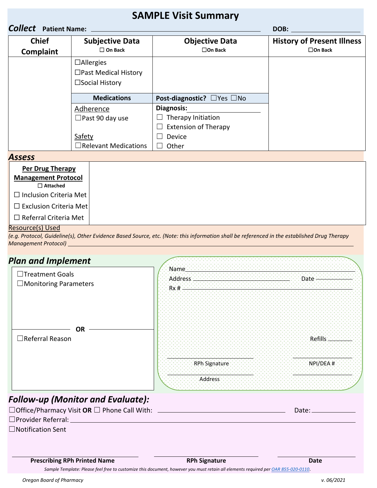## **SAMPLE Visit Summary**

| <b>Collect</b> Patient Name: |                                                                              |                                                                                    | DOB:                                                   |
|------------------------------|------------------------------------------------------------------------------|------------------------------------------------------------------------------------|--------------------------------------------------------|
| <b>Chief</b><br>Complaint    | <b>Subjective Data</b><br>$\Box$ On Back                                     | <b>Objective Data</b><br>$\square$ On Back                                         | <b>History of Present Illness</b><br>$\square$ On Back |
|                              | $\Box$ Allergies<br>$\Box$ Past Medical History<br>$\square$ Social History  |                                                                                    |                                                        |
|                              | <b>Medications</b>                                                           | <b>Post-diagnostic?</b> $\Box$ Yes $\Box$ No                                       |                                                        |
|                              | Adherence<br>$\Box$ Past 90 day use<br>Safety<br>$\Box$ Relevant Medications | Diagnosis:<br>Therapy Initiation<br><b>Extension of Therapy</b><br>Device<br>Other |                                                        |

## *Assess* **Per Drug Therapy Management Protocol** ☐ **Attached**  ☐ Inclusion Criteria Met □ Exclusion Criteria Met ☐ Referral Criteria Met Ī

## Resource(s) Used

*(e.g. Protocol, Guideline(s), Other Evidence Based Source, etc. (Note: this information shall be referenced in the established Drug Therapy Management Protocol)*

<u>AAN DE BEREIKHDE HET HET DIE STELLEN DIE DIE STELLEN DIE STELLEN DIE DIE STELLEN DIE DIE STELLEN DIE DIE STELL</u>

## *Plan and Implement*

| □Treatment Goals             | Name                 |           |
|------------------------------|----------------------|-----------|
|                              | Address              | Date      |
| $\Box$ Monitoring Parameters | :Rx #·               |           |
|                              |                      |           |
|                              |                      |           |
|                              |                      |           |
|                              |                      |           |
| <b>OR</b>                    |                      |           |
|                              |                      |           |
| $\Box$ Referral Reason       |                      | Refills   |
|                              |                      |           |
|                              |                      |           |
|                              | <b>RPh Signature</b> | NPI/DEA # |
|                              |                      |           |
|                              | <b>Address</b>       |           |
|                              |                      |           |

| $\Box$ Office/Pharmacy Visit OR $\Box$ Phone Call With: | Date: |
|---------------------------------------------------------|-------|
| $\Box$ Provider Referral:                               |       |
| $\Box$ Notification Sent                                |       |

**Prescribing RPh Printed Name CONDUCTER RPH Signature Date** Date

 *Sample Template: Please feel free to customize this document, however you must retain all elements required pe[r OAR 855-020-0110](https://secure.sos.state.or.us/oard/viewSingleRule.action;JSESSIONID_OARD=LNXRNu0OHxcykDeZY7SJEwNFw3ZPLNhPHLs0Kw5a8noxfilAB5X-!-1886423255?ruleVrsnRsn=262657)*.